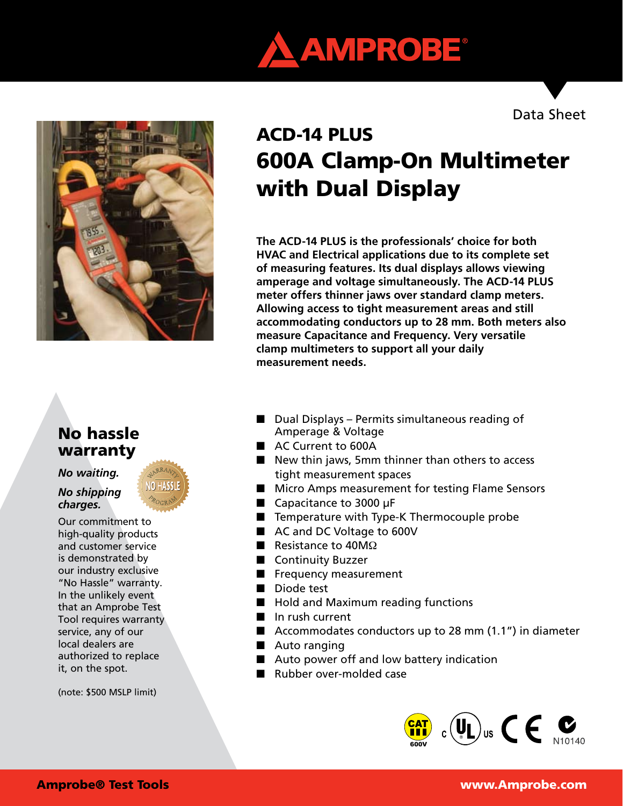

Data Sheet



# ACD-14 PLUS 600A Clamp-On Multimeter with Dual Display

**The ACD-14 PLUS is the professionals' choice for both HVAC and Electrical applications due to its complete set of measuring features. Its dual displays allows viewing amperage and voltage simultaneously. The ACD-14 PLUS meter offers thinner jaws over standard clamp meters. Allowing access to tight measurement areas and still accommodating conductors up to 28 mm. Both meters also measure Capacitance and Frequency. Very versatile clamp multimeters to support all your daily measurement needs.**

# No hassle warranty

*No waiting.* 

*No shipping charges.*

Our commitment to high-quality products and customer service is demonstrated by our industry exclusive "No Hassle" warranty. In the unlikely event that an Amprobe Test Tool requires warranty service, any of our local dealers are authorized to replace it, on the spot.

(note: \$500 MSLP limit)

- $\blacksquare$  Dual Displays Permits simultaneous reading of Amperage & Voltage
- AC Current to 600A
- $\blacksquare$  New thin jaws, 5mm thinner than others to access tight measurement spaces
- Micro Amps measurement for testing Flame Sensors
- $\Box$  Capacitance to 3000 µF
- $\blacksquare$  Temperature with Type-K Thermocouple probe
- AC and DC Voltage to 600V
- Resistance to  $40M\Omega$
- **n** Continuity Buzzer
- $\blacksquare$  Frequency measurement
- Diode test
- Hold and Maximum reading functions
- $\blacksquare$  In rush current
- Accommodates conductors up to 28 mm  $(1.1")$  in diameter
- $\blacksquare$  Auto ranging
- $\blacksquare$  Auto power off and low battery indication
- Rubber over-molded case

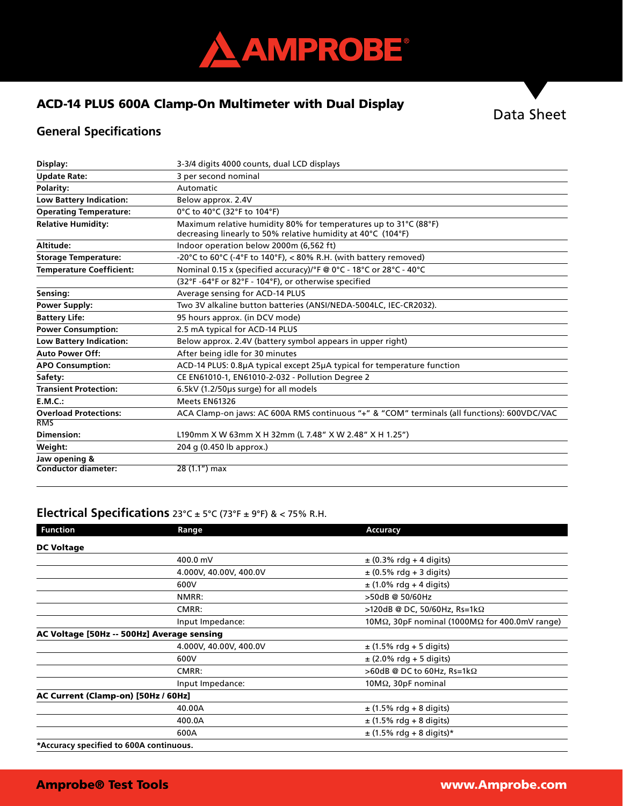

### ACD-14 PLUS 600A Clamp-On Multimeter with Dual Display



## **General Specifications**

| Display:                        | 3-3/4 digits 4000 counts, dual LCD displays                                                                                      |  |  |
|---------------------------------|----------------------------------------------------------------------------------------------------------------------------------|--|--|
| <b>Update Rate:</b>             | 3 per second nominal                                                                                                             |  |  |
| <b>Polarity:</b>                | Automatic                                                                                                                        |  |  |
| <b>Low Battery Indication:</b>  | Below approx. 2.4V                                                                                                               |  |  |
| <b>Operating Temperature:</b>   | 0°C to 40°C (32°F to 104°F)                                                                                                      |  |  |
| <b>Relative Humidity:</b>       | Maximum relative humidity 80% for temperatures up to 31°C (88°F)<br>decreasing linearly to 50% relative humidity at 40°C (104°F) |  |  |
| Altitude:                       | Indoor operation below 2000m (6,562 ft)                                                                                          |  |  |
| <b>Storage Temperature:</b>     | -20°C to 60°C (-4°F to 140°F), < 80% R.H. (with battery removed)                                                                 |  |  |
| <b>Temperature Coefficient:</b> | Nominal 0.15 x (specified accuracy)/°F @ 0°C - 18°C or 28°C - 40°C                                                               |  |  |
|                                 | (32°F-64°F or 82°F - 104°F), or otherwise specified                                                                              |  |  |
| Sensing:                        | Average sensing for ACD-14 PLUS                                                                                                  |  |  |
| <b>Power Supply:</b>            | Two 3V alkaline button batteries (ANSI/NEDA-5004LC, IEC-CR2032).                                                                 |  |  |
| <b>Battery Life:</b>            | 95 hours approx. (in DCV mode)                                                                                                   |  |  |
| <b>Power Consumption:</b>       | 2.5 mA typical for ACD-14 PLUS                                                                                                   |  |  |
| Low Battery Indication:         | Below approx. 2.4V (battery symbol appears in upper right)                                                                       |  |  |
| <b>Auto Power Off:</b>          | After being idle for 30 minutes                                                                                                  |  |  |
| <b>APO Consumption:</b>         | ACD-14 PLUS: 0.8µA typical except 25µA typical for temperature function                                                          |  |  |
| Safety:                         | CE EN61010-1, EN61010-2-032 - Pollution Degree 2                                                                                 |  |  |
| <b>Transient Protection:</b>    | 6.5kV (1.2/50µs surge) for all models                                                                                            |  |  |
| E.M.C.:                         | Meets EN61326                                                                                                                    |  |  |
| <b>Overload Protections:</b>    | ACA Clamp-on jaws: AC 600A RMS continuous "+" & "COM" terminals (all functions): 600VDC/VAC                                      |  |  |
| <b>RMS</b>                      |                                                                                                                                  |  |  |
| Dimension:                      | L190mm X W 63mm X H 32mm (L 7.48" X W 2.48" X H 1.25")                                                                           |  |  |
| Weight:                         | 204 g (0.450 lb approx.)                                                                                                         |  |  |
| Jaw opening &                   |                                                                                                                                  |  |  |
| Conductor diameter:             | 28 (1.1") max                                                                                                                    |  |  |

# **Electrical Specifications** 23°C ± 5°C (73°F ± 9°F) & < 75% R.H.

| <b>Function</b>                         | Range                                      | Accuracy                                                       |  |
|-----------------------------------------|--------------------------------------------|----------------------------------------------------------------|--|
| <b>DC Voltage</b>                       |                                            |                                                                |  |
|                                         | 400.0 mV                                   | $\pm$ (0.3% rdg + 4 digits)                                    |  |
|                                         | 4.000V, 40.00V, 400.0V                     | $\pm$ (0.5% rdg + 3 digits)                                    |  |
|                                         | 600V                                       | $\pm$ (1.0% rdg + 4 digits)                                    |  |
|                                         | NMRR:                                      | >50dB @ 50/60Hz                                                |  |
|                                         | CMRR:                                      | >120dB @ DC, 50/60Hz, Rs=1kΩ                                   |  |
|                                         | Input Impedance:                           | 10M $\Omega$ , 30pF nominal (1000M $\Omega$ for 400.0mV range) |  |
|                                         | AC Voltage [50Hz -- 500Hz] Average sensing |                                                                |  |
|                                         | 4.000V, 40.00V, 400.0V                     | $\pm$ (1.5% rdg + 5 digits)                                    |  |
|                                         | 600V                                       | $\pm$ (2.0% rdg + 5 digits)                                    |  |
|                                         | CMRR:                                      | $>60$ dB @ DC to 60Hz, Rs=1k $\Omega$                          |  |
|                                         | Input Impedance:                           | $10M\Omega$ , $30pF$ nominal                                   |  |
| AC Current (Clamp-on) [50Hz / 60Hz]     |                                            |                                                                |  |
|                                         | 40.00A                                     | $\pm$ (1.5% rdg + 8 digits)                                    |  |
|                                         | 400.0A                                     | $\pm$ (1.5% rdg + 8 digits)                                    |  |
|                                         | 600A                                       | $\pm$ (1.5% rdg + 8 digits)*                                   |  |
| *Accuracy specified to 600A continuous. |                                            |                                                                |  |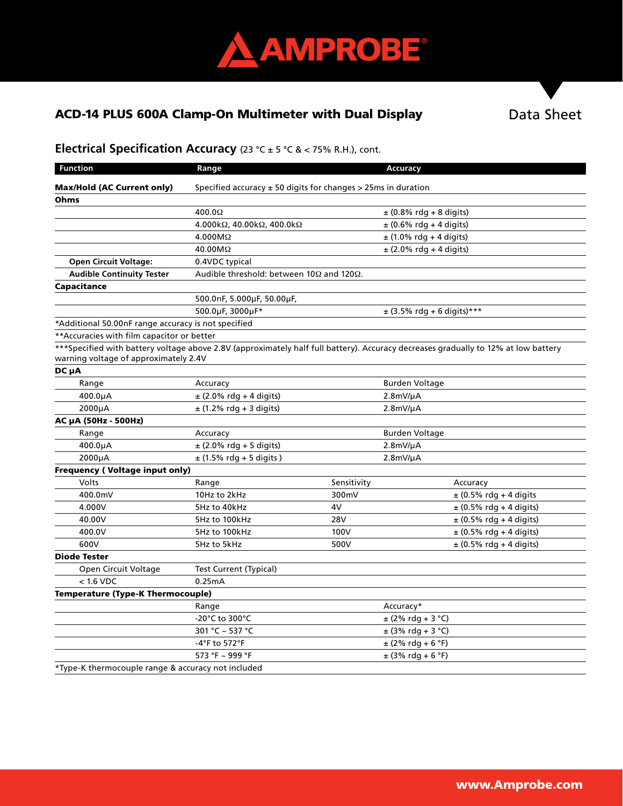

# ACD-14 PLUS 600A Clamp-On Multimeter with Dual Display

Data Sheet

# **Electrical Specification Accuracy** (23 °C ± 5 °C & < 75% R.H.), cont.

| <b>Function</b>                                                                                                                                                             | Range                                                               |               | Accuracy                     |                             |  |
|-----------------------------------------------------------------------------------------------------------------------------------------------------------------------------|---------------------------------------------------------------------|---------------|------------------------------|-----------------------------|--|
| <b>Max/Hold (AC Current only)</b>                                                                                                                                           | Specified accuracy $\pm$ 50 digits for changes $>$ 25ms in duration |               |                              |                             |  |
| Ohms                                                                                                                                                                        |                                                                     |               |                              |                             |  |
|                                                                                                                                                                             | 400.0 $\Omega$                                                      |               | $\pm$ (0.8% rdg + 8 digits)  |                             |  |
|                                                                                                                                                                             | $4.000k\Omega$ , $40.00k\Omega$ , $400.0k\Omega$                    |               | $\pm$ (0.6% rdg + 4 digits)  |                             |  |
|                                                                                                                                                                             | $4.000M\Omega$                                                      |               | $\pm$ (1.0% rdg + 4 digits)  |                             |  |
|                                                                                                                                                                             | 40.00MΩ                                                             |               | $\pm$ (2.0% rdg + 4 digits)  |                             |  |
| <b>Open Circuit Voltage:</b>                                                                                                                                                | 0.4VDC typical                                                      |               |                              |                             |  |
| <b>Audible Continuity Tester</b>                                                                                                                                            | Audible threshold: between 10 $\Omega$ and 120 $\Omega$ .           |               |                              |                             |  |
| Capacitance                                                                                                                                                                 |                                                                     |               |                              |                             |  |
|                                                                                                                                                                             | 500.0nF, 5.000µF, 50.00µF,                                          |               |                              |                             |  |
|                                                                                                                                                                             | 500.0µF, 3000µF*                                                    |               | $±$ (3.5% rdg + 6 digits)*** |                             |  |
| *Additional 50.00nF range accuracy is not specified                                                                                                                         |                                                                     |               |                              |                             |  |
| ** Accuracies with film capacitor or better                                                                                                                                 |                                                                     |               |                              |                             |  |
| ***Specified with battery voltage above 2.8V (approximately half full battery). Accuracy decreases gradually to 12% at low battery<br>warning voltage of approximately 2.4V |                                                                     |               |                              |                             |  |
| DC µA                                                                                                                                                                       |                                                                     |               |                              |                             |  |
| Range                                                                                                                                                                       | Accuracy                                                            |               |                              | <b>Burden Voltage</b>       |  |
| 400.0µA                                                                                                                                                                     | $\pm$ (2.0% rdg + 4 digits)                                         |               | $2.8mV/\mu A$                |                             |  |
| 2000µA                                                                                                                                                                      | $\pm$ (1.2% rdg + 3 digits)                                         |               | $2.8mV/\mu A$                |                             |  |
| АС µА (50Hz - 500Hz)                                                                                                                                                        |                                                                     |               |                              |                             |  |
| Range                                                                                                                                                                       | Accuracy                                                            |               | <b>Burden Voltage</b>        |                             |  |
| 400.0µA                                                                                                                                                                     | $±$ (2.0% rdg + 5 digits)                                           | $2.8mV/\mu A$ |                              |                             |  |
| 2000µA                                                                                                                                                                      | $\pm$ (1.5% rdg + 5 digits)                                         |               | $2.8mV/\mu A$                |                             |  |
| <b>Frequency (Voltage input only)</b>                                                                                                                                       |                                                                     |               |                              |                             |  |
| Volts                                                                                                                                                                       | Range                                                               | Sensitivity   |                              | Accuracy                    |  |
| 400.0mV                                                                                                                                                                     | 10Hz to 2kHz                                                        | 300mV         |                              | $\pm$ (0.5% rdg + 4 digits  |  |
| 4.000V                                                                                                                                                                      | 5Hz to 40kHz                                                        | 4V            |                              | $± (0.5%$ rdg + 4 digits)   |  |
| 40.00V                                                                                                                                                                      | 5Hz to 100kHz                                                       | 28V           |                              | $\pm$ (0.5% rdg + 4 digits) |  |
| 400.0V                                                                                                                                                                      | 5Hz to 100kHz                                                       | 100V          |                              | $\pm$ (0.5% rdg + 4 digits) |  |
| 600V                                                                                                                                                                        | 5Hz to 5kHz                                                         | 500V          |                              | $\pm$ (0.5% rdg + 4 digits) |  |
| <b>Diode Tester</b>                                                                                                                                                         |                                                                     |               |                              |                             |  |
| Open Circuit Voltage                                                                                                                                                        | Test Current (Typical)                                              |               |                              |                             |  |
| $< 1.6$ VDC                                                                                                                                                                 | 0.25mA                                                              |               |                              |                             |  |
| <b>Temperature (Type-K Thermocouple)</b>                                                                                                                                    |                                                                     |               |                              |                             |  |
|                                                                                                                                                                             | Range                                                               |               | Accuracy*                    |                             |  |
|                                                                                                                                                                             | -20°C to 300°C                                                      |               | $± (2% rdg + 3 °C)$          |                             |  |
|                                                                                                                                                                             | 301 °C ~ 537 °C                                                     |               | $\pm$ (3% rdg + 3 °C)        |                             |  |
|                                                                                                                                                                             | -4°F to 572°F                                                       |               | $\pm$ (2% rdg + 6 °F)        |                             |  |
|                                                                                                                                                                             | 573 °F ~ 999 °F                                                     |               | $\pm$ (3% rdg + 6 °F)        |                             |  |
| *Type-K thermocouple range & accuracy not included                                                                                                                          |                                                                     |               |                              |                             |  |